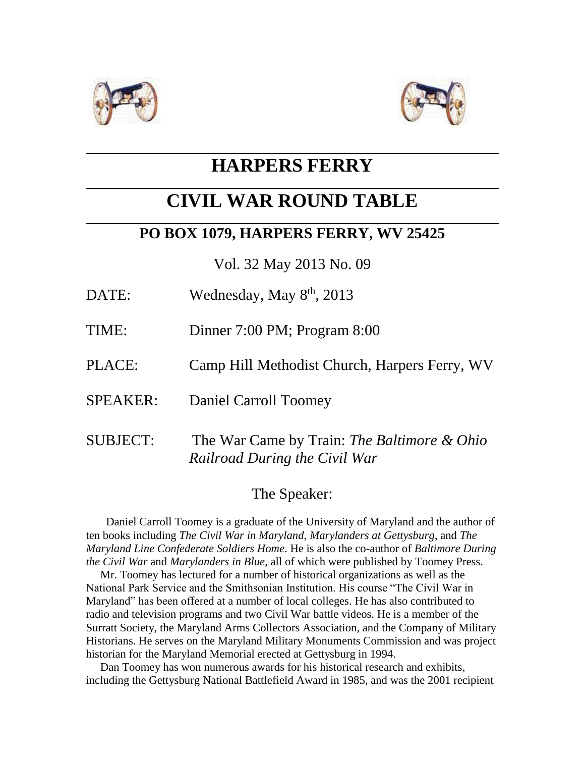



# **HARPERS FERRY**

# **CIVIL WAR ROUND TABLE**

## **PO BOX 1079, HARPERS FERRY, WV 25425**

Vol. 32 May 2013 No. 09

- DATE: Wednesday, May 8<sup>th</sup>, 2013
- TIME: Dinner 7:00 PM; Program 8:00
- PLACE: Camp Hill Methodist Church, Harpers Ferry, WV
- SPEAKER: Daniel Carroll Toomey
- SUBJECT: The War Came by Train: *The Baltimore & Ohio Railroad During the Civil War*

#### The Speaker:

 Daniel Carroll Toomey is a graduate of the University of Maryland and the author of ten books including *The Civil War in Maryland*, *Marylanders at Gettysburg*, and *The Maryland Line Confederate Soldiers Home*. He is also the co-author of *Baltimore During the Civil War* and *Marylanders in Blue*, all of which were published by Toomey Press.

 Mr. Toomey has lectured for a number of historical organizations as well as the National Park Service and the Smithsonian Institution. His course "The Civil War in Maryland" has been offered at a number of local colleges. He has also contributed to radio and television programs and two Civil War battle videos. He is a member of the Surratt Society, the Maryland Arms Collectors Association, and the Company of Military Historians. He serves on the Maryland Military Monuments Commission and was project historian for the Maryland Memorial erected at Gettysburg in 1994.

 Dan Toomey has won numerous awards for his historical research and exhibits, including the Gettysburg National Battlefield Award in 1985, and was the 2001 recipient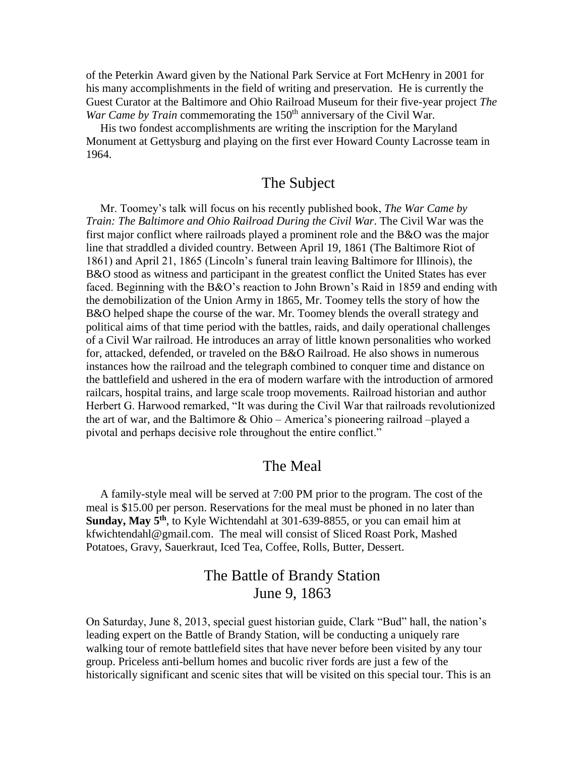of the Peterkin Award given by the National Park Service at Fort McHenry in 2001 for his many accomplishments in the field of writing and preservation. He is currently the Guest Curator at the Baltimore and Ohio Railroad Museum for their five-year project *The War Came by Train* commemorating the 150<sup>th</sup> anniversary of the Civil War.

 His two fondest accomplishments are writing the inscription for the Maryland Monument at Gettysburg and playing on the first ever Howard County Lacrosse team in 1964.

#### The Subject

 Mr. Toomey's talk will focus on his recently published book, *The War Came by Train: The Baltimore and Ohio Railroad During the Civil War*. The Civil War was the first major conflict where railroads played a prominent role and the B&O was the major line that straddled a divided country. Between April 19, 1861 (The Baltimore Riot of 1861) and April 21, 1865 (Lincoln's funeral train leaving Baltimore for Illinois), the B&O stood as witness and participant in the greatest conflict the United States has ever faced. Beginning with the B&O's reaction to John Brown's Raid in 1859 and ending with the demobilization of the Union Army in 1865, Mr. Toomey tells the story of how the B&O helped shape the course of the war. Mr. Toomey blends the overall strategy and political aims of that time period with the battles, raids, and daily operational challenges of a Civil War railroad. He introduces an array of little known personalities who worked for, attacked, defended, or traveled on the B&O Railroad. He also shows in numerous instances how the railroad and the telegraph combined to conquer time and distance on the battlefield and ushered in the era of modern warfare with the introduction of armored railcars, hospital trains, and large scale troop movements. Railroad historian and author Herbert G. Harwood remarked, "It was during the Civil War that railroads revolutionized the art of war, and the Baltimore & Ohio – America's pioneering railroad –played a pivotal and perhaps decisive role throughout the entire conflict."

#### The Meal

 A family-style meal will be served at 7:00 PM prior to the program. The cost of the meal is \$15.00 per person. Reservations for the meal must be phoned in no later than **Sunday, May 5th**, to Kyle Wichtendahl at 301-639-8855, or you can email him at [kfwichtendahl@gmail.com.](mailto:kfwichtendahl@gmail.com) The meal will consist of Sliced Roast Pork, Mashed Potatoes, Gravy, Sauerkraut, Iced Tea, Coffee, Rolls, Butter, Dessert.

### The Battle of Brandy Station June 9, 1863

On Saturday, June 8, 2013, special guest historian guide, Clark "Bud" hall, the nation's leading expert on the Battle of Brandy Station, will be conducting a uniquely rare walking tour of remote battlefield sites that have never before been visited by any tour group. Priceless anti-bellum homes and bucolic river fords are just a few of the historically significant and scenic sites that will be visited on this special tour. This is an